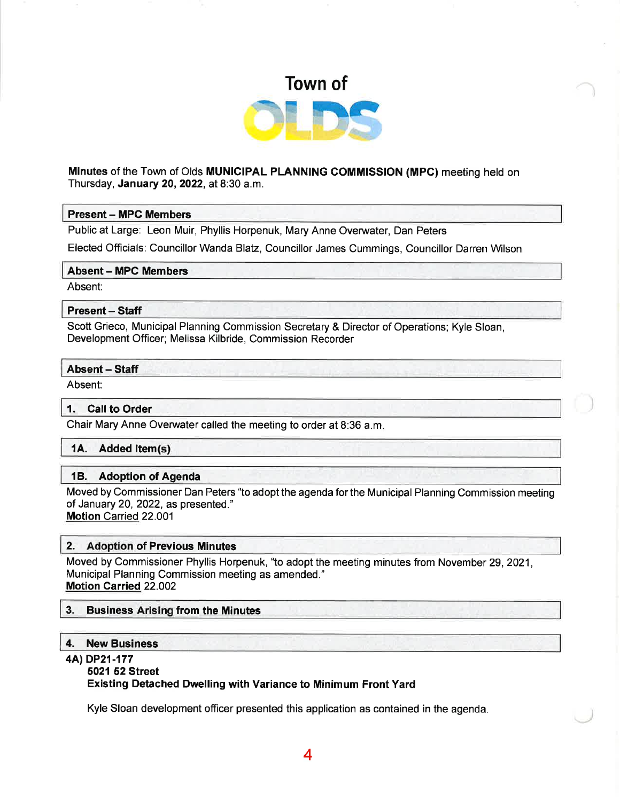

# Minutes of the Town of Olds MUNICIPAL PLANNING COMMISSION (MPC) meeting held on Thursday, January 20,2022, at 8:30 a.m.

### Present- MPC Members

Public at Large: Leon Muir, Phyllis Horpenuk, Mary Anne Overwater, Dan Peters

Elected Officials: Councillor Wanda Blatz, Councillor James Cummings, Councillor Darren Wilson

### Absent - MPC Members

Absent:

# Present - Staff

Scott Grieco, Municipal Planning Commission Secretary & Director of Operations; Kyle Sloan, Development Officer; Melissa Kilbride, Commission Recorder

### Absent - Staff

Absent:

### 1. Call to Order

Chair Mary Anne Overwater called the meeting to order at B:36 a.m

# 1A. Added Item(s)

### 18. Adoption of Agenda

Moved by Commissioner Dan Peters "to adopt the agenda forthe Municipal Planning Commission meeting of January 20, 2022, as presented."

Motion Carried 22.001

# 2. Adoption of Previous Minutes

Moved by Commissioner Phyllis Horpenuk, "to adopt the meeting minutes from November 29,2021, Municipal Planning Commission meeting as amended." Motion Carried 22.002

### 3. Business Arising from the Minutes

# 4. New Business

### 4Al DP21-177

### 5021 52 Street

### Existing Detached Dwelling with Variance to Minimum Front Yard

Kyle Sloan development officer presented this application as contained in the agenda.